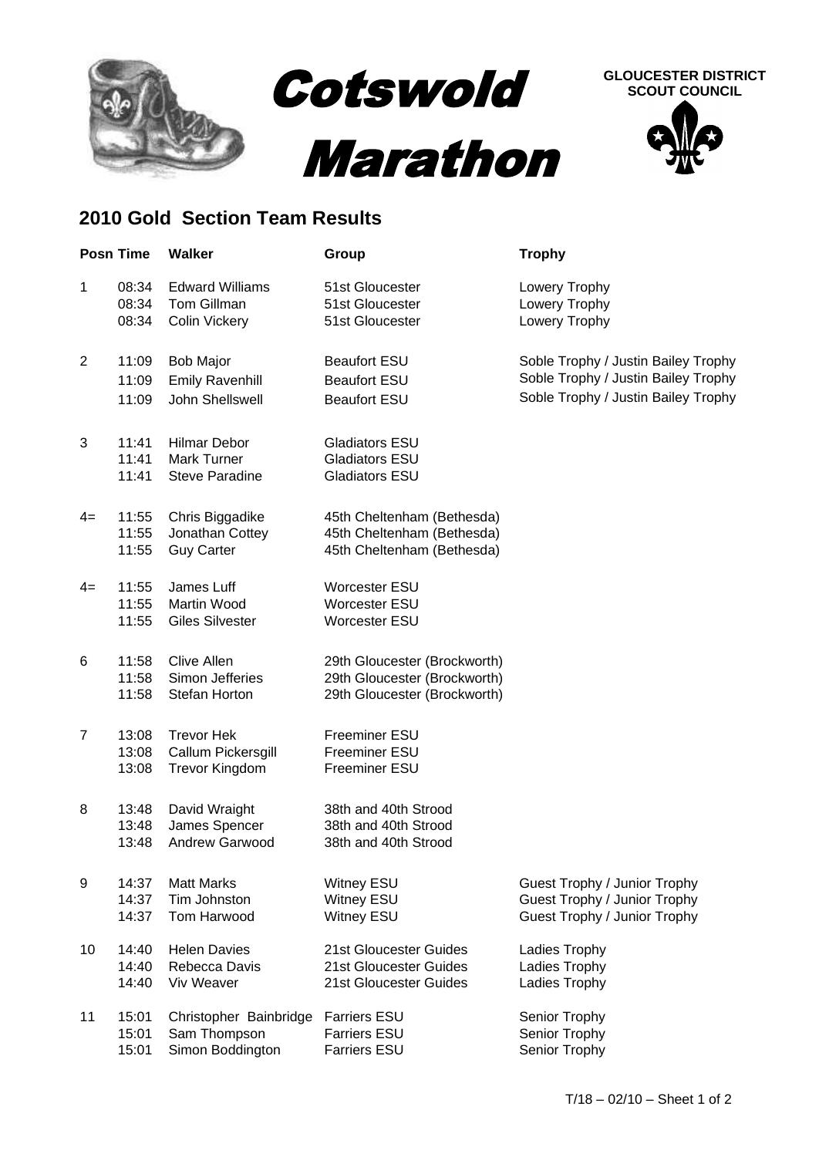

## **2010 Gold Section Team Results**

|                | <b>Posn Time</b>        | <b>Walker</b>                                                      | Group                                                                                        | <b>Trophy</b>                                                                                                     |
|----------------|-------------------------|--------------------------------------------------------------------|----------------------------------------------------------------------------------------------|-------------------------------------------------------------------------------------------------------------------|
| 1              | 08:34<br>08:34<br>08:34 | <b>Edward Williams</b><br><b>Tom Gillman</b><br>Colin Vickery      | 51st Gloucester<br>51st Gloucester<br>51st Gloucester                                        | Lowery Trophy<br>Lowery Trophy<br>Lowery Trophy                                                                   |
| $\overline{2}$ | 11:09<br>11:09<br>11:09 | <b>Bob Major</b><br><b>Emily Ravenhill</b><br>John Shellswell      | <b>Beaufort ESU</b><br><b>Beaufort ESU</b><br><b>Beaufort ESU</b>                            | Soble Trophy / Justin Bailey Trophy<br>Soble Trophy / Justin Bailey Trophy<br>Soble Trophy / Justin Bailey Trophy |
| 3              | 11:41<br>11:41<br>11:41 | <b>Hilmar Debor</b><br><b>Mark Turner</b><br><b>Steve Paradine</b> | <b>Gladiators ESU</b><br><b>Gladiators ESU</b><br><b>Gladiators ESU</b>                      |                                                                                                                   |
| $4=$           | 11:55<br>11:55<br>11:55 | Chris Biggadike<br>Jonathan Cottey<br><b>Guy Carter</b>            | 45th Cheltenham (Bethesda)<br>45th Cheltenham (Bethesda)<br>45th Cheltenham (Bethesda)       |                                                                                                                   |
| $4=$           | 11:55<br>11:55<br>11:55 | James Luff<br>Martin Wood<br><b>Giles Silvester</b>                | Worcester ESU<br><b>Worcester ESU</b><br><b>Worcester ESU</b>                                |                                                                                                                   |
| 6              | 11:58<br>11:58<br>11:58 | Clive Allen<br>Simon Jefferies<br>Stefan Horton                    | 29th Gloucester (Brockworth)<br>29th Gloucester (Brockworth)<br>29th Gloucester (Brockworth) |                                                                                                                   |
| $\overline{7}$ | 13:08<br>13:08<br>13:08 | <b>Trevor Hek</b><br>Callum Pickersgill<br><b>Trevor Kingdom</b>   | Freeminer ESU<br>Freeminer ESU<br>Freeminer ESU                                              |                                                                                                                   |
| 8              | 13:48<br>13:48<br>13:48 | David Wraight<br>James Spencer<br>Andrew Garwood                   | 38th and 40th Strood<br>38th and 40th Strood<br>38th and 40th Strood                         |                                                                                                                   |
| 9              | 14:37<br>14:37<br>14:37 | <b>Matt Marks</b><br>Tim Johnston<br>Tom Harwood                   | <b>Witney ESU</b><br><b>Witney ESU</b><br><b>Witney ESU</b>                                  | Guest Trophy / Junior Trophy<br>Guest Trophy / Junior Trophy<br>Guest Trophy / Junior Trophy                      |
| 10             | 14:40<br>14:40<br>14:40 | <b>Helen Davies</b><br>Rebecca Davis<br>Viv Weaver                 | 21st Gloucester Guides<br>21st Gloucester Guides<br>21st Gloucester Guides                   | Ladies Trophy<br>Ladies Trophy<br>Ladies Trophy                                                                   |
| 11             | 15:01<br>15:01<br>15:01 | Christopher Bainbridge<br>Sam Thompson<br>Simon Boddington         | <b>Farriers ESU</b><br><b>Farriers ESU</b><br><b>Farriers ESU</b>                            | Senior Trophy<br>Senior Trophy<br>Senior Trophy                                                                   |